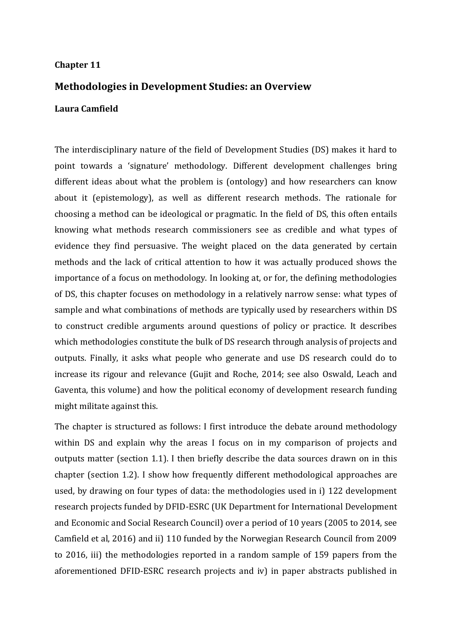### **Chapter 11**

# **Methodologies in Development Studies: an Overview**

## **Laura Camfield**

The interdisciplinary nature of the field of Development Studies (DS) makes it hard to point towards a 'signature' methodology. Different development challenges bring different ideas about what the problem is (ontology) and how researchers can know about it (epistemology), as well as different research methods. The rationale for choosing a method can be ideological or pragmatic. In the field of DS, this often entails knowing what methods research commissioners see as credible and what types of evidence they find persuasive. The weight placed on the data generated by certain methods and the lack of critical attention to how it was actually produced shows the importance of a focus on methodology. In looking at, or for, the defining methodologies of DS, this chapter focuses on methodology in a relatively narrow sense: what types of sample and what combinations of methods are typically used by researchers within DS to construct credible arguments around questions of policy or practice. It describes which methodologies constitute the bulk of DS research through analysis of projects and outputs. Finally, it asks what people who generate and use DS research could do to increase its rigour and relevance (Gujit and Roche, 2014; see also Oswald, Leach and Gaventa, this volume) and how the political economy of development research funding might militate against this.

The chapter is structured as follows: I first introduce the debate around methodology within DS and explain why the areas I focus on in my comparison of projects and outputs matter (section 1.1). I then briefly describe the data sources drawn on in this chapter (section 1.2). I show how frequently different methodological approaches are used, by drawing on four types of data: the methodologies used in i) 122 development research projects funded by DFID-ESRC (UK Department for International Development and Economic and Social Research Council) over a period of 10 years (2005 to 2014, see Camfield et al, 2016) and ii) 110 funded by the Norwegian Research Council from 2009 to 2016, iii) the methodologies reported in a random sample of 159 papers from the aforementioned DFID-ESRC research projects and iv) in paper abstracts published in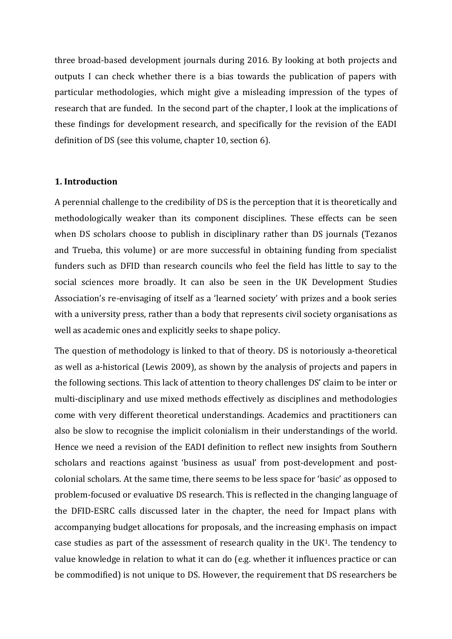three broad-based development journals during 2016. By looking at both projects and outputs I can check whether there is a bias towards the publication of papers with particular methodologies, which might give a misleading impression of the types of research that are funded. In the second part of the chapter, I look at the implications of these findings for development research, and specifically for the revision of the EADI definition of DS (see this volume, chapter 10, section 6).

# **1. Introduction**

A perennial challenge to the credibility of DS is the perception that it is theoretically and methodologically weaker than its component disciplines. These effects can be seen when DS scholars choose to publish in disciplinary rather than DS journals (Tezanos and Trueba, this volume) or are more successful in obtaining funding from specialist funders such as DFID than research councils who feel the field has little to say to the social sciences more broadly. It can also be seen in the UK Development Studies Association's re-envisaging of itself as a 'learned society' with prizes and a book series with a university press, rather than a body that represents civil society organisations as well as academic ones and explicitly seeks to shape policy.

The question of methodology is linked to that of theory. DS is notoriously a-theoretical as well as a-historical (Lewis 2009), as shown by the analysis of projects and papers in the following sections. This lack of attention to theory challenges DS' claim to be inter or multi-disciplinary and use mixed methods effectively as disciplines and methodologies come with very different theoretical understandings. Academics and practitioners can also be slow to recognise the implicit colonialism in their understandings of the world. Hence we need a revision of the EADI definition to reflect new insights from Southern scholars and reactions against 'business as usual' from post-development and postcolonial scholars. At the same time, there seems to be less space for 'basic' as opposed to problem-focused or evaluative DS research. This is reflected in the changing language of the DFID-ESRC calls discussed later in the chapter, the need for Impact plans with accompanying budget allocations for proposals, and the increasing emphasis on impact case studies as part of the assessment of research quality in the  $UK<sup>1</sup>$ . The tendency to value knowledge in relation to what it can do (e.g. whether it influences practice or can be commodified) is not unique to DS. However, the requirement that DS researchers be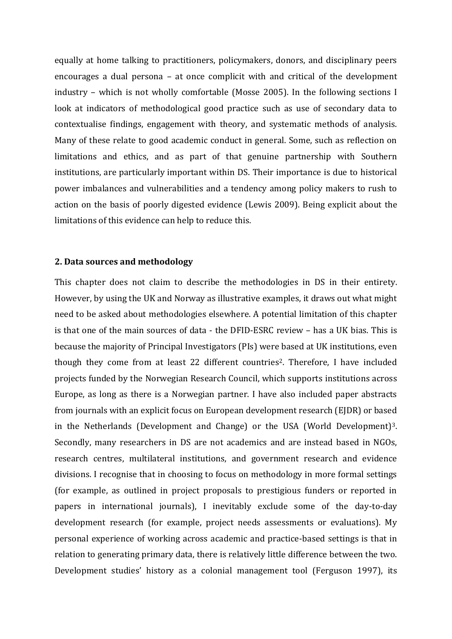equally at home talking to practitioners, policymakers, donors, and disciplinary peers encourages a dual persona – at once complicit with and critical of the development industry – which is not wholly comfortable (Mosse 2005). In the following sections I look at indicators of methodological good practice such as use of secondary data to contextualise findings, engagement with theory, and systematic methods of analysis. Many of these relate to good academic conduct in general. Some, such as reflection on limitations and ethics, and as part of that genuine partnership with Southern institutions, are particularly important within DS. Their importance is due to historical power imbalances and vulnerabilities and a tendency among policy makers to rush to action on the basis of poorly digested evidence (Lewis 2009). Being explicit about the limitations of this evidence can help to reduce this.

# **2. Data sources and methodology**

This chapter does not claim to describe the methodologies in DS in their entirety. However, by using the UK and Norway as illustrative examples, it draws out what might need to be asked about methodologies elsewhere. A potential limitation of this chapter is that one of the main sources of data - the DFID-ESRC review – has a UK bias. This is because the majority of Principal Investigators (PIs) were based at UK institutions, even though they come from at least 22 different countries<sup>2</sup>. Therefore, I have included projects funded by the Norwegian Research Council, which supports institutions across Europe, as long as there is a Norwegian partner. I have also included paper abstracts from journals with an explicit focus on European development research (EJDR) or based in the Netherlands (Development and Change) or the USA (World Development)3. Secondly, many researchers in DS are not academics and are instead based in NGOs, research centres, multilateral institutions, and government research and evidence divisions. I recognise that in choosing to focus on methodology in more formal settings (for example, as outlined in project proposals to prestigious funders or reported in papers in international journals), I inevitably exclude some of the day-to-day development research (for example, project needs assessments or evaluations). My personal experience of working across academic and practice-based settings is that in relation to generating primary data, there is relatively little difference between the two. Development studies' history as a colonial management tool (Ferguson 1997), its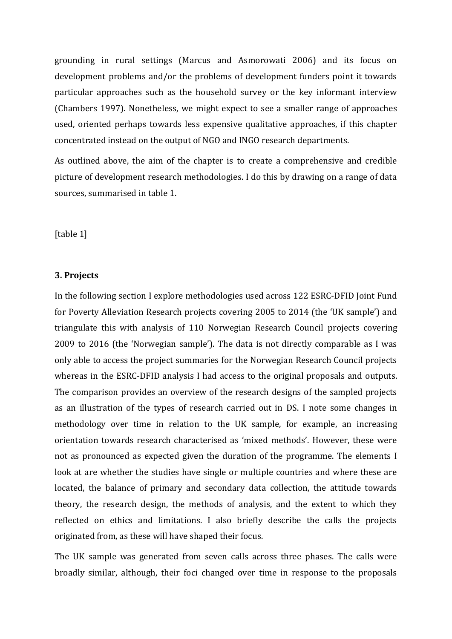grounding in rural settings (Marcus and Asmorowati 2006) and its focus on development problems and/or the problems of development funders point it towards particular approaches such as the household survey or the key informant interview (Chambers 1997). Nonetheless, we might expect to see a smaller range of approaches used, oriented perhaps towards less expensive qualitative approaches, if this chapter concentrated instead on the output of NGO and INGO research departments.

As outlined above, the aim of the chapter is to create a comprehensive and credible picture of development research methodologies. I do this by drawing on a range of data sources, summarised in table 1.

[table 1]

### **3. Projects**

In the following section I explore methodologies used across 122 ESRC-DFID Joint Fund for Poverty Alleviation Research projects covering 2005 to 2014 (the 'UK sample') and triangulate this with analysis of 110 Norwegian Research Council projects covering 2009 to 2016 (the 'Norwegian sample'). The data is not directly comparable as I was only able to access the project summaries for the Norwegian Research Council projects whereas in the ESRC-DFID analysis I had access to the original proposals and outputs. The comparison provides an overview of the research designs of the sampled projects as an illustration of the types of research carried out in DS. I note some changes in methodology over time in relation to the UK sample, for example, an increasing orientation towards research characterised as 'mixed methods'. However, these were not as pronounced as expected given the duration of the programme. The elements I look at are whether the studies have single or multiple countries and where these are located, the balance of primary and secondary data collection, the attitude towards theory, the research design, the methods of analysis, and the extent to which they reflected on ethics and limitations. I also briefly describe the calls the projects originated from, as these will have shaped their focus.

The UK sample was generated from seven calls across three phases. The calls were broadly similar, although, their foci changed over time in response to the proposals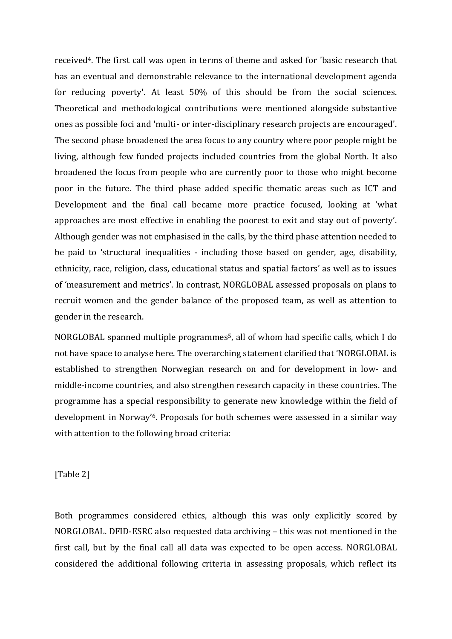received4. The first call was open in terms of theme and asked for 'basic research that has an eventual and demonstrable relevance to the international development agenda for reducing poverty'. At least 50% of this should be from the social sciences. Theoretical and methodological contributions were mentioned alongside substantive ones as possible foci and 'multi- or inter-disciplinary research projects are encouraged'. The second phase broadened the area focus to any country where poor people might be living, although few funded projects included countries from the global North. It also broadened the focus from people who are currently poor to those who might become poor in the future. The third phase added specific thematic areas such as ICT and Development and the final call became more practice focused, looking at 'what approaches are most effective in enabling the poorest to exit and stay out of poverty'. Although gender was not emphasised in the calls, by the third phase attention needed to be paid to 'structural inequalities - including those based on gender, age, disability, ethnicity, race, religion, class, educational status and spatial factors' as well as to issues of 'measurement and metrics'. In contrast, NORGLOBAL assessed proposals on plans to recruit women and the gender balance of the proposed team, as well as attention to gender in the research.

NORGLOBAL spanned multiple programmes5, all of whom had specific calls, which I do not have space to analyse here. The overarching statement clarified that 'NORGLOBAL is established to strengthen Norwegian research on and for development in low- and middle-income countries, and also strengthen research capacity in these countries. The programme has a special responsibility to generate new knowledge within the field of development in Norway'6. Proposals for both schemes were assessed in a similar way with attention to the following broad criteria:

[Table 2]

Both programmes considered ethics, although this was only explicitly scored by NORGLOBAL. DFID-ESRC also requested data archiving – this was not mentioned in the first call, but by the final call all data was expected to be open access. NORGLOBAL considered the additional following criteria in assessing proposals, which reflect its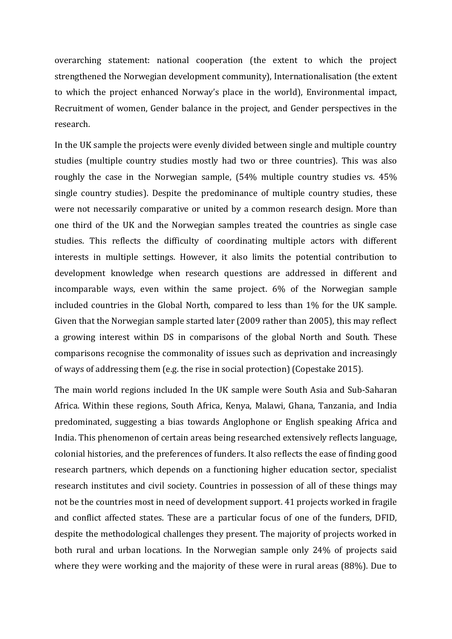overarching statement: national cooperation (the extent to which the project strengthened the Norwegian development community), Internationalisation (the extent to which the project enhanced Norway's place in the world), Environmental impact, Recruitment of women, Gender balance in the project, and Gender perspectives in the research.

In the UK sample the projects were evenly divided between single and multiple country studies (multiple country studies mostly had two or three countries). This was also roughly the case in the Norwegian sample, (54% multiple country studies vs. 45% single country studies). Despite the predominance of multiple country studies, these were not necessarily comparative or united by a common research design. More than one third of the UK and the Norwegian samples treated the countries as single case studies. This reflects the difficulty of coordinating multiple actors with different interests in multiple settings. However, it also limits the potential contribution to development knowledge when research questions are addressed in different and incomparable ways, even within the same project. 6% of the Norwegian sample included countries in the Global North, compared to less than 1% for the UK sample. Given that the Norwegian sample started later (2009 rather than 2005), this may reflect a growing interest within DS in comparisons of the global North and South. These comparisons recognise the commonality of issues such as deprivation and increasingly of ways of addressing them (e.g. the rise in social protection) (Copestake 2015).

The main world regions included In the UK sample were South Asia and Sub-Saharan Africa. Within these regions, South Africa, Kenya, Malawi, Ghana, Tanzania, and India predominated, suggesting a bias towards Anglophone or English speaking Africa and India. This phenomenon of certain areas being researched extensively reflects language, colonial histories, and the preferences of funders. It also reflects the ease of finding good research partners, which depends on a functioning higher education sector, specialist research institutes and civil society. Countries in possession of all of these things may not be the countries most in need of development support. 41 projects worked in fragile and conflict affected states. These are a particular focus of one of the funders, DFID, despite the methodological challenges they present. The majority of projects worked in both rural and urban locations. In the Norwegian sample only 24% of projects said where they were working and the majority of these were in rural areas (88%). Due to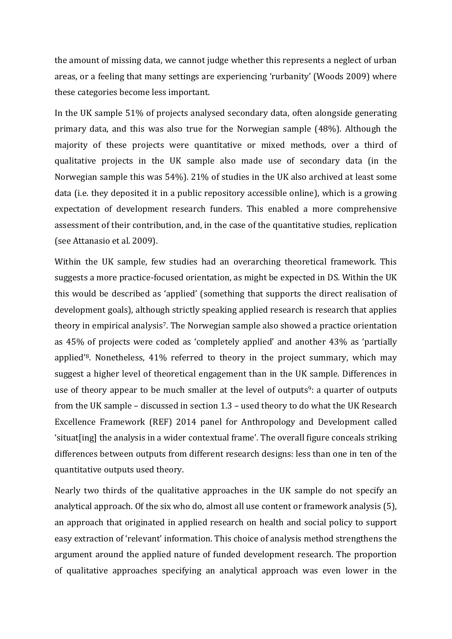the amount of missing data, we cannot judge whether this represents a neglect of urban areas, or a feeling that many settings are experiencing 'rurbanity' (Woods 2009) where these categories become less important.

In the UK sample 51% of projects analysed secondary data, often alongside generating primary data, and this was also true for the Norwegian sample (48%). Although the majority of these projects were quantitative or mixed methods, over a third of qualitative projects in the UK sample also made use of secondary data (in the Norwegian sample this was 54%). 21% of studies in the UK also archived at least some data (i.e. they deposited it in a public repository accessible online), which is a growing expectation of development research funders. This enabled a more comprehensive assessment of their contribution, and, in the case of the quantitative studies, replication (see Attanasio et al. 2009).

Within the UK sample, few studies had an overarching theoretical framework. This suggests a more practice-focused orientation, as might be expected in DS. Within the UK this would be described as 'applied' (something that supports the direct realisation of development goals), although strictly speaking applied research is research that applies theory in empirical analysis7. The Norwegian sample also showed a practice orientation as 45% of projects were coded as 'completely applied' and another 43% as 'partially applied'8. Nonetheless, 41% referred to theory in the project summary, which may suggest a higher level of theoretical engagement than in the UK sample. Differences in use of theory appear to be much smaller at the level of outputs<sup>9</sup>: a quarter of outputs from the UK sample – discussed in section 1.3 – used theory to do what the UK Research Excellence Framework (REF) 2014 panel for Anthropology and Development called 'situat[ing] the analysis in a wider contextual frame'. The overall figure conceals striking differences between outputs from different research designs: less than one in ten of the quantitative outputs used theory.

Nearly two thirds of the qualitative approaches in the UK sample do not specify an analytical approach. Of the six who do, almost all use content or framework analysis (5), an approach that originated in applied research on health and social policy to support easy extraction of 'relevant' information. This choice of analysis method strengthens the argument around the applied nature of funded development research. The proportion of qualitative approaches specifying an analytical approach was even lower in the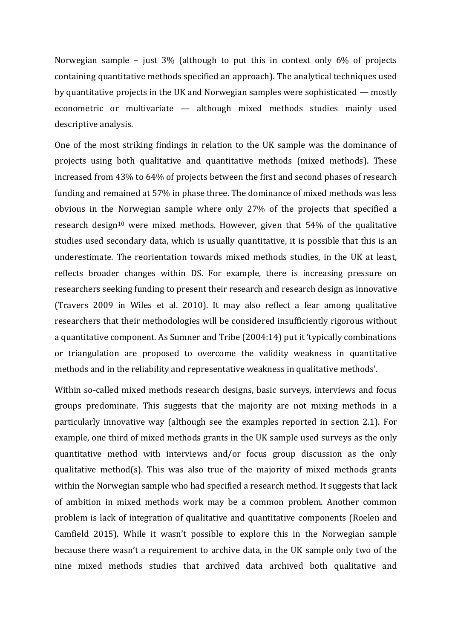Norwegian sample – just 3% (although to put this in context only 6% of projects containing quantitative methods specified an approach). The analytical techniques used by quantitative projects in the UK and Norwegian samples were sophisticated — mostly econometric or multivariate — although mixed methods studies mainly used descriptive analysis.

One of the most striking findings in relation to the UK sample was the dominance of projects using both qualitative and quantitative methods (mixed methods). These increased from 43% to 64% of projects between the first and second phases of research funding and remained at 57% in phase three. The dominance of mixed methods was less obvious in the Norwegian sample where only 27% of the projects that specified a research design<sup>10</sup> were mixed methods. However, given that  $54\%$  of the qualitative studies used secondary data, which is usually quantitative, it is possible that this is an underestimate. The reorientation towards mixed methods studies, in the UK at least, reflects broader changes within DS. For example, there is increasing pressure on researchers seeking funding to present their research and research design as innovative (Travers 2009 in Wiles et al. 2010). It may also reflect a fear among qualitative researchers that their methodologies will be considered insufficiently rigorous without a quantitative component. As Sumner and Tribe (2004:14) put it 'typically combinations or triangulation are proposed to overcome the validity weakness in quantitative methods and in the reliability and representative weakness in qualitative methods'.

Within so-called mixed methods research designs, basic surveys, interviews and focus groups predominate. This suggests that the majority are not mixing methods in a particularly innovative way (although see the examples reported in section 2.1). For example, one third of mixed methods grants in the UK sample used surveys as the only quantitative method with interviews and/or focus group discussion as the only qualitative method(s). This was also true of the majority of mixed methods grants within the Norwegian sample who had specified a research method. It suggests that lack of ambition in mixed methods work may be a common problem. Another common problem is lack of integration of qualitative and quantitative components (Roelen and Camfield 2015). While it wasn't possible to explore this in the Norwegian sample because there wasn't a requirement to archive data, in the UK sample only two of the nine mixed methods studies that archived data archived both qualitative and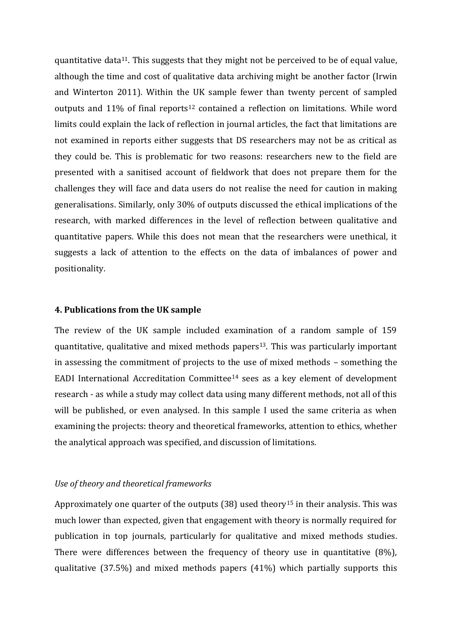quantitative data11. This suggests that they might not be perceived to be of equal value, although the time and cost of qualitative data archiving might be another factor (Irwin and Winterton 2011). Within the UK sample fewer than twenty percent of sampled outputs and  $11\%$  of final reports<sup>12</sup> contained a reflection on limitations. While word limits could explain the lack of reflection in journal articles, the fact that limitations are not examined in reports either suggests that DS researchers may not be as critical as they could be. This is problematic for two reasons: researchers new to the field are presented with a sanitised account of fieldwork that does not prepare them for the challenges they will face and data users do not realise the need for caution in making generalisations. Similarly, only 30% of outputs discussed the ethical implications of the research, with marked differences in the level of reflection between qualitative and quantitative papers. While this does not mean that the researchers were unethical, it suggests a lack of attention to the effects on the data of imbalances of power and positionality.

#### **4. Publications from the UK sample**

The review of the UK sample included examination of a random sample of 159 quantitative, qualitative and mixed methods papers<sup>13</sup>. This was particularly important in assessing the commitment of projects to the use of mixed methods – something the EADI International Accreditation Committee<sup>14</sup> sees as a key element of development research - as while a study may collect data using many different methods, not all of this will be published, or even analysed. In this sample I used the same criteria as when examining the projects: theory and theoretical frameworks, attention to ethics, whether the analytical approach was specified, and discussion of limitations.

#### *Use of theory and theoretical frameworks*

Approximately one quarter of the outputs  $(38)$  used theory<sup>15</sup> in their analysis. This was much lower than expected, given that engagement with theory is normally required for publication in top journals, particularly for qualitative and mixed methods studies. There were differences between the frequency of theory use in quantitative (8%), qualitative (37.5%) and mixed methods papers (41%) which partially supports this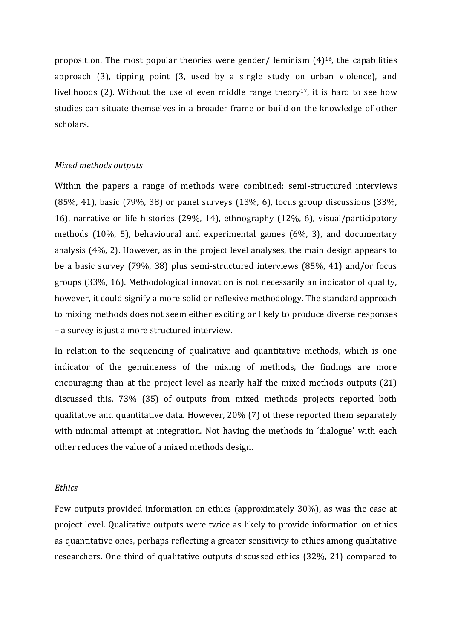proposition. The most popular theories were gender/ feminism  $(4)^{16}$ , the capabilities approach (3), tipping point (3, used by a single study on urban violence), and livelihoods (2). Without the use of even middle range theory<sup>17</sup>, it is hard to see how studies can situate themselves in a broader frame or build on the knowledge of other scholars.

#### *Mixed methods outputs*

Within the papers a range of methods were combined: semi-structured interviews (85%, 41), basic (79%, 38) or panel surveys (13%, 6), focus group discussions (33%, 16), narrative or life histories (29%, 14), ethnography (12%, 6), visual/participatory methods (10%, 5), behavioural and experimental games (6%, 3), and documentary analysis (4%, 2). However, as in the project level analyses, the main design appears to be a basic survey (79%, 38) plus semi-structured interviews (85%, 41) and/or focus groups (33%, 16). Methodological innovation is not necessarily an indicator of quality, however, it could signify a more solid or reflexive methodology. The standard approach to mixing methods does not seem either exciting or likely to produce diverse responses – a survey is just a more structured interview.

In relation to the sequencing of qualitative and quantitative methods, which is one indicator of the genuineness of the mixing of methods, the findings are more encouraging than at the project level as nearly half the mixed methods outputs (21) discussed this. 73% (35) of outputs from mixed methods projects reported both qualitative and quantitative data. However, 20% (7) of these reported them separately with minimal attempt at integration. Not having the methods in 'dialogue' with each other reduces the value of a mixed methods design.

#### *Ethics*

Few outputs provided information on ethics (approximately 30%), as was the case at project level. Qualitative outputs were twice as likely to provide information on ethics as quantitative ones, perhaps reflecting a greater sensitivity to ethics among qualitative researchers. One third of qualitative outputs discussed ethics (32%, 21) compared to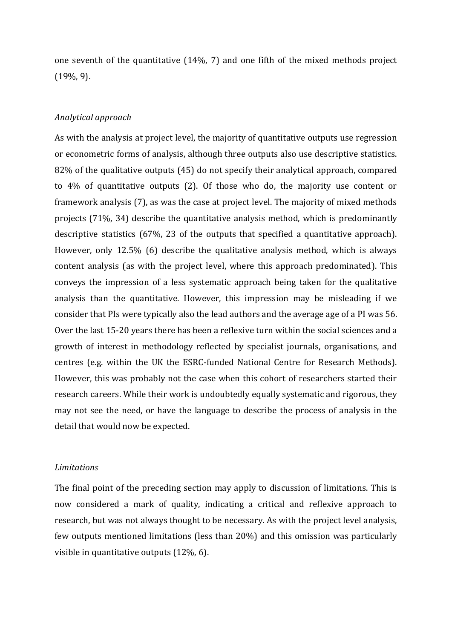one seventh of the quantitative (14%, 7) and one fifth of the mixed methods project (19%, 9).

### *Analytical approach*

As with the analysis at project level, the majority of quantitative outputs use regression or econometric forms of analysis, although three outputs also use descriptive statistics. 82% of the qualitative outputs (45) do not specify their analytical approach, compared to 4% of quantitative outputs (2). Of those who do, the majority use content or framework analysis (7), as was the case at project level. The majority of mixed methods projects (71%, 34) describe the quantitative analysis method, which is predominantly descriptive statistics (67%, 23 of the outputs that specified a quantitative approach). However, only 12.5% (6) describe the qualitative analysis method, which is always content analysis (as with the project level, where this approach predominated). This conveys the impression of a less systematic approach being taken for the qualitative analysis than the quantitative. However, this impression may be misleading if we consider that PIs were typically also the lead authors and the average age of a PI was 56. Over the last 15-20 years there has been a reflexive turn within the social sciences and a growth of interest in methodology reflected by specialist journals, organisations, and centres (e.g. within the UK the ESRC-funded National Centre for Research Methods). However, this was probably not the case when this cohort of researchers started their research careers. While their work is undoubtedly equally systematic and rigorous, they may not see the need, or have the language to describe the process of analysis in the detail that would now be expected.

#### *Limitations*

The final point of the preceding section may apply to discussion of limitations. This is now considered a mark of quality, indicating a critical and reflexive approach to research, but was not always thought to be necessary. As with the project level analysis, few outputs mentioned limitations (less than 20%) and this omission was particularly visible in quantitative outputs (12%, 6).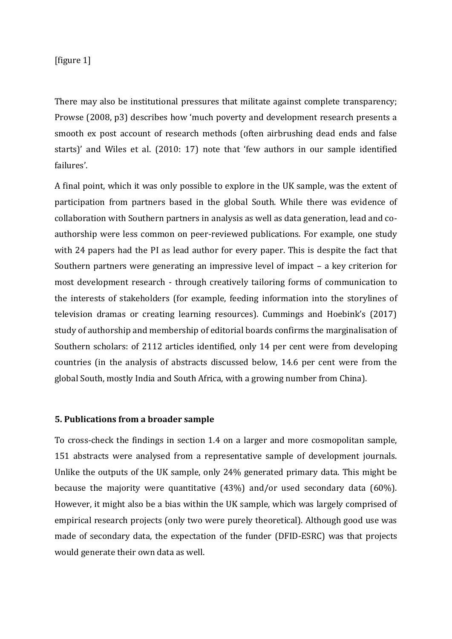[figure 1]

There may also be institutional pressures that militate against complete transparency; Prowse (2008, p3) describes how 'much poverty and development research presents a smooth ex post account of research methods (often airbrushing dead ends and false starts)' and Wiles et al. (2010: 17) note that 'few authors in our sample identified failures'.

A final point, which it was only possible to explore in the UK sample, was the extent of participation from partners based in the global South. While there was evidence of collaboration with Southern partners in analysis as well as data generation, lead and coauthorship were less common on peer-reviewed publications. For example, one study with 24 papers had the PI as lead author for every paper. This is despite the fact that Southern partners were generating an impressive level of impact – a key criterion for most development research - through creatively tailoring forms of communication to the interests of stakeholders (for example, feeding information into the storylines of television dramas or creating learning resources). Cummings and Hoebink's (2017) study of authorship and membership of editorial boards confirms the marginalisation of Southern scholars: of 2112 articles identified, only 14 per cent were from developing countries (in the analysis of abstracts discussed below, 14.6 per cent were from the global South, mostly India and South Africa, with a growing number from China).

### **5. Publications from a broader sample**

To cross-check the findings in section 1.4 on a larger and more cosmopolitan sample, 151 abstracts were analysed from a representative sample of development journals. Unlike the outputs of the UK sample, only 24% generated primary data. This might be because the majority were quantitative (43%) and/or used secondary data (60%). However, it might also be a bias within the UK sample, which was largely comprised of empirical research projects (only two were purely theoretical). Although good use was made of secondary data, the expectation of the funder (DFID-ESRC) was that projects would generate their own data as well.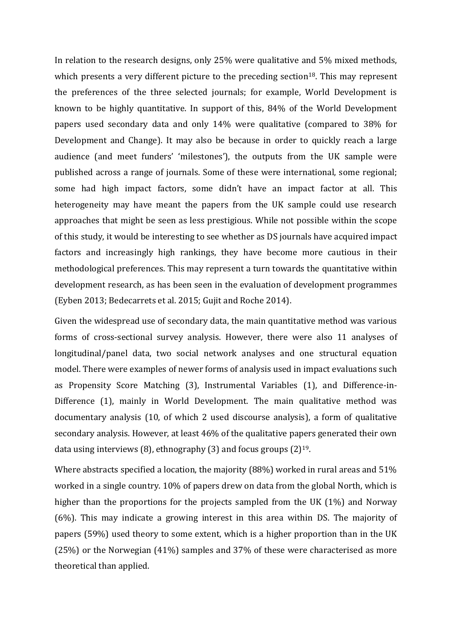In relation to the research designs, only 25% were qualitative and 5% mixed methods, which presents a very different picture to the preceding section<sup>18</sup>. This may represent the preferences of the three selected journals; for example, World Development is known to be highly quantitative. In support of this, 84% of the World Development papers used secondary data and only 14% were qualitative (compared to 38% for Development and Change). It may also be because in order to quickly reach a large audience (and meet funders' 'milestones'), the outputs from the UK sample were published across a range of journals. Some of these were international, some regional; some had high impact factors, some didn't have an impact factor at all. This heterogeneity may have meant the papers from the UK sample could use research approaches that might be seen as less prestigious. While not possible within the scope of this study, it would be interesting to see whether as DS journals have acquired impact factors and increasingly high rankings, they have become more cautious in their methodological preferences. This may represent a turn towards the quantitative within development research, as has been seen in the evaluation of development programmes (Eyben 2013; Bedecarrets et al. 2015; Gujit and Roche 2014).

Given the widespread use of secondary data, the main quantitative method was various forms of cross-sectional survey analysis. However, there were also 11 analyses of longitudinal/panel data, two social network analyses and one structural equation model. There were examples of newer forms of analysis used in impact evaluations such as Propensity Score Matching (3), Instrumental Variables (1), and Difference-in-Difference (1), mainly in World Development. The main qualitative method was documentary analysis (10, of which 2 used discourse analysis), a form of qualitative secondary analysis. However, at least 46% of the qualitative papers generated their own data using interviews (8), ethnography (3) and focus groups  $(2)^{19}$ .

Where abstracts specified a location, the majority (88%) worked in rural areas and 51% worked in a single country. 10% of papers drew on data from the global North, which is higher than the proportions for the projects sampled from the UK (1%) and Norway (6%). This may indicate a growing interest in this area within DS. The majority of papers (59%) used theory to some extent, which is a higher proportion than in the UK (25%) or the Norwegian (41%) samples and 37% of these were characterised as more theoretical than applied.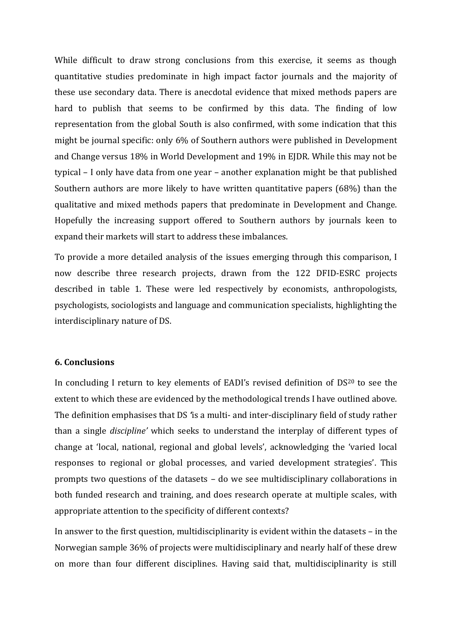While difficult to draw strong conclusions from this exercise, it seems as though quantitative studies predominate in high impact factor journals and the majority of these use secondary data. There is anecdotal evidence that mixed methods papers are hard to publish that seems to be confirmed by this data. The finding of low representation from the global South is also confirmed, with some indication that this might be journal specific: only 6% of Southern authors were published in Development and Change versus 18% in World Development and 19% in EJDR. While this may not be typical – I only have data from one year – another explanation might be that published Southern authors are more likely to have written quantitative papers (68%) than the qualitative and mixed methods papers that predominate in Development and Change. Hopefully the increasing support offered to Southern authors by journals keen to expand their markets will start to address these imbalances.

To provide a more detailed analysis of the issues emerging through this comparison, I now describe three research projects, drawn from the 122 DFID-ESRC projects described in table 1. These were led respectively by economists, anthropologists, psychologists, sociologists and language and communication specialists, highlighting the interdisciplinary nature of DS.

# **6. Conclusions**

In concluding I return to key elements of EADI's revised definition of DS<sup>20</sup> to see the extent to which these are evidenced by the methodological trends I have outlined above. The definition emphasises that DS *'*is a multi- and inter-disciplinary field of study rather than a single *discipline'* which seeks to understand the interplay of different types of change at 'local, national, regional and global levels', acknowledging the 'varied local responses to regional or global processes, and varied development strategies'. This prompts two questions of the datasets – do we see multidisciplinary collaborations in both funded research and training, and does research operate at multiple scales, with appropriate attention to the specificity of different contexts?

In answer to the first question, multidisciplinarity is evident within the datasets – in the Norwegian sample 36% of projects were multidisciplinary and nearly half of these drew on more than four different disciplines. Having said that, multidisciplinarity is still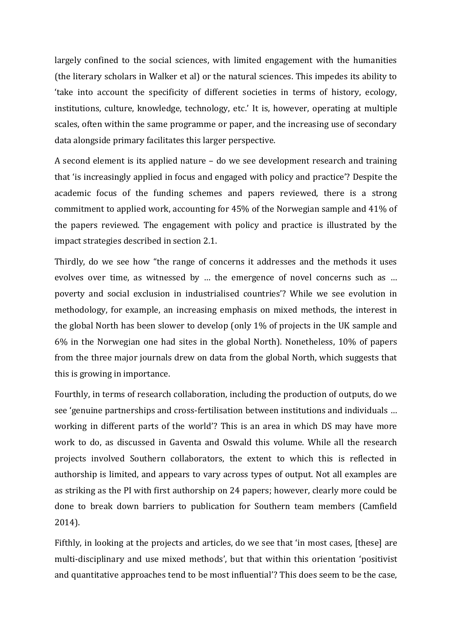largely confined to the social sciences, with limited engagement with the humanities (the literary scholars in Walker et al) or the natural sciences. This impedes its ability to 'take into account the specificity of different societies in terms of history, ecology, institutions, culture, knowledge, technology, etc.' It is, however, operating at multiple scales, often within the same programme or paper, and the increasing use of secondary data alongside primary facilitates this larger perspective.

A second element is its applied nature – do we see development research and training that 'is increasingly applied in focus and engaged with policy and practice'? Despite the academic focus of the funding schemes and papers reviewed, there is a strong commitment to applied work, accounting for 45% of the Norwegian sample and 41% of the papers reviewed. The engagement with policy and practice is illustrated by the impact strategies described in section 2.1.

Thirdly, do we see how "the range of concerns it addresses and the methods it uses evolves over time, as witnessed by … the emergence of novel concerns such as … poverty and social exclusion in industrialised countries'? While we see evolution in methodology, for example, an increasing emphasis on mixed methods, the interest in the global North has been slower to develop (only 1% of projects in the UK sample and 6% in the Norwegian one had sites in the global North). Nonetheless, 10% of papers from the three major journals drew on data from the global North, which suggests that this is growing in importance.

Fourthly, in terms of research collaboration, including the production of outputs, do we see 'genuine partnerships and cross-fertilisation between institutions and individuals … working in different parts of the world'? This is an area in which DS may have more work to do, as discussed in Gaventa and Oswald this volume. While all the research projects involved Southern collaborators, the extent to which this is reflected in authorship is limited, and appears to vary across types of output. Not all examples are as striking as the PI with first authorship on 24 papers; however, clearly more could be done to break down barriers to publication for Southern team members (Camfield 2014).

Fifthly, in looking at the projects and articles, do we see that 'in most cases, [these] are multi-disciplinary and use mixed methods', but that within this orientation 'positivist and quantitative approaches tend to be most influential'? This does seem to be the case,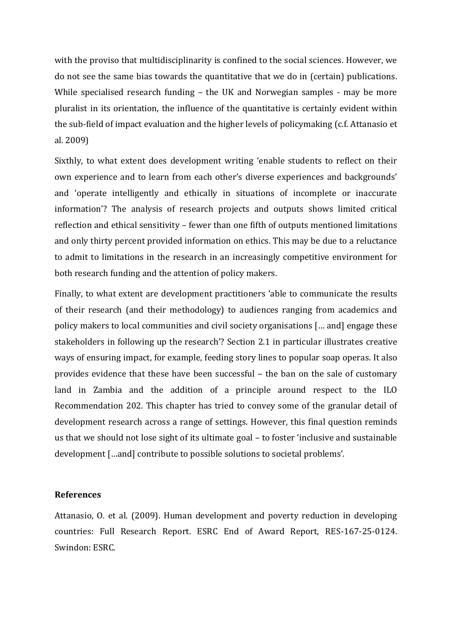with the proviso that multidisciplinarity is confined to the social sciences. However, we do not see the same bias towards the quantitative that we do in (certain) publications. While specialised research funding – the UK and Norwegian samples - may be more pluralist in its orientation, the influence of the quantitative is certainly evident within the sub-field of impact evaluation and the higher levels of policymaking (c.f. Attanasio et al. 2009)

Sixthly, to what extent does development writing 'enable students to reflect on their own experience and to learn from each other's diverse experiences and backgrounds' and 'operate intelligently and ethically in situations of incomplete or inaccurate information'? The analysis of research projects and outputs shows limited critical reflection and ethical sensitivity – fewer than one fifth of outputs mentioned limitations and only thirty percent provided information on ethics. This may be due to a reluctance to admit to limitations in the research in an increasingly competitive environment for both research funding and the attention of policy makers.

Finally, to what extent are development practitioners 'able to communicate the results of their research (and their methodology) to audiences ranging from academics and policy makers to local communities and civil society organisations [… and] engage these stakeholders in following up the research'? Section 2.1 in particular illustrates creative ways of ensuring impact, for example, feeding story lines to popular soap operas. It also provides evidence that these have been successful – the ban on the sale of customary land in Zambia and the addition of a principle around respect to the ILO Recommendation 202. This chapter has tried to convey some of the granular detail of development research across a range of settings. However, this final question reminds us that we should not lose sight of its ultimate goal – to foster 'inclusive and sustainable development […and] contribute to possible solutions to societal problems'.

### **References**

Attanasio, O. et al. (2009). Human development and poverty reduction in developing countries: Full Research Report. ESRC End of Award Report, RES-167-25-0124. Swindon: ESRC.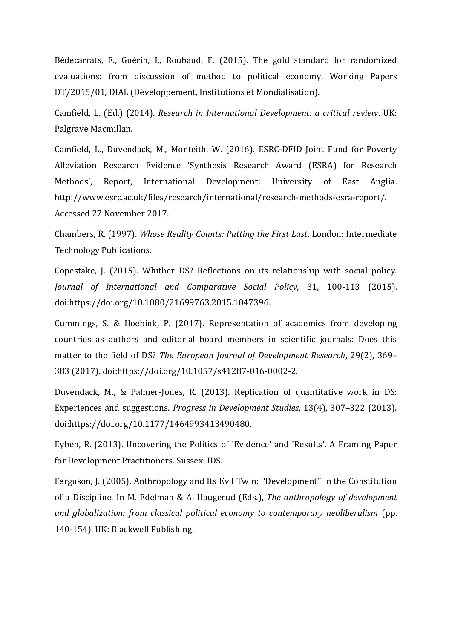Bédécarrats, F., Guérin, I., Roubaud, F. (2015). The gold standard for randomized evaluations: from discussion of method to political economy. Working Papers DT/2015/01, DIAL (Développement, Institutions et Mondialisation).

Camfield, L. (Ed.) (2014). *Research in International Development: a critical review*. UK: Palgrave Macmillan.

Camfield, L., Duvendack, M., Monteith, W. (2016). ESRC-DFID Joint Fund for Poverty Alleviation Research Evidence 'Synthesis Research Award (ESRA) for Research Methods', Report, International Development: University of East Anglia. http://www.esrc.ac.uk/files/research/international/research-methods-esra-report/. Accessed 27 November 2017.

Chambers, R. (1997). *Whose Reality Counts: Putting the First Last*. London: Intermediate Technology Publications.

Copestake, J. (2015). Whither DS? Reflections on its relationship with social policy. *Journal of International and Comparative Social Policy*, 31, 100-113 (2015). doi:https://doi.org/10.1080/21699763.2015.1047396.

Cummings, S. & Hoebink, P. (2017). Representation of academics from developing countries as authors and editorial board members in scientific journals: Does this matter to the field of DS? *The European Journal of Development Research*, 29(2), 369– 383 (2017). doi:https://doi.org/10.1057/s41287-016-0002-2.

Duvendack, M., & Palmer-Jones, R. (2013). Replication of quantitative work in DS: Experiences and suggestions. *Progress in Development Studies*, 13(4), 307–322 (2013). doi:https://doi.org/10.1177/1464993413490480.

Eyben, R. (2013). Uncovering the Politics of 'Evidence' and 'Results'. A Framing Paper for Development Practitioners. Sussex: IDS.

Ferguson, J. (2005). Anthropology and Its Evil Twin: ''Development'' in the Constitution of a Discipline. In M. Edelman & A. Haugerud (Eds.), *The anthropology of development and globalization: from classical political economy to contemporary neoliberalism* (pp. 140-154). UK: Blackwell Publishing.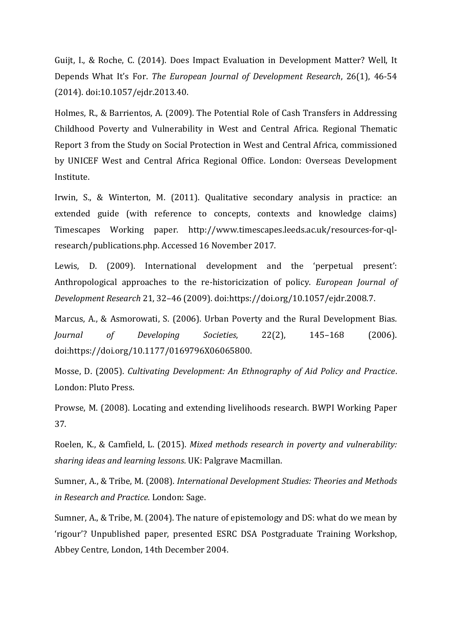Guijt, I., & Roche, C. (2014). Does Impact Evaluation in Development Matter? Well, It Depends What It's For. *The European Journal of Development Research*, 26(1), 46-54 (2014). doi:10.1057/ejdr.2013.40.

Holmes, R., & Barrientos, A. (2009). The Potential Role of Cash Transfers in Addressing Childhood Poverty and Vulnerability in West and Central Africa. Regional Thematic Report 3 from the Study on Social Protection in West and Central Africa, commissioned by UNICEF West and Central Africa Regional Office. London: Overseas Development Institute.

Irwin, S., & Winterton, M. (2011). Qualitative secondary analysis in practice: an extended guide (with reference to concepts, contexts and knowledge claims) Timescapes Working paper. http://www.timescapes.leeds.ac.uk/resources-for-qlresearch/publications.php. Accessed 16 November 2017.

Lewis, D. (2009). International development and the 'perpetual present': Anthropological approaches to the re-historicization of policy. *European Journal of Development Research* 21, 32–46 (2009). doi:https://doi.org/10.1057/ejdr.2008.7.

Marcus, A., & Asmorowati, S. (2006). Urban Poverty and the Rural Development Bias. *Journal of Developing Societies*, 22(2), 145–168 (2006). doi:https://doi.org/10.1177/0169796X06065800.

Mosse, D. (2005). *Cultivating Development: An Ethnography of Aid Policy and Practice*. London: Pluto Press.

Prowse, M. (2008). Locating and extending livelihoods research. BWPI Working Paper 37.

Roelen, K., & Camfield, L. (2015). *Mixed methods research in poverty and vulnerability: sharing ideas and learning lessons*. UK: Palgrave Macmillan.

Sumner, A., & Tribe, M. (2008). *International Development Studies: Theories and Methods in Research and Practice*. London: Sage.

Sumner, A., & Tribe, M. (2004). The nature of epistemology and DS: what do we mean by 'rigour'? Unpublished paper, presented ESRC DSA Postgraduate Training Workshop, Abbey Centre, London, 14th December 2004.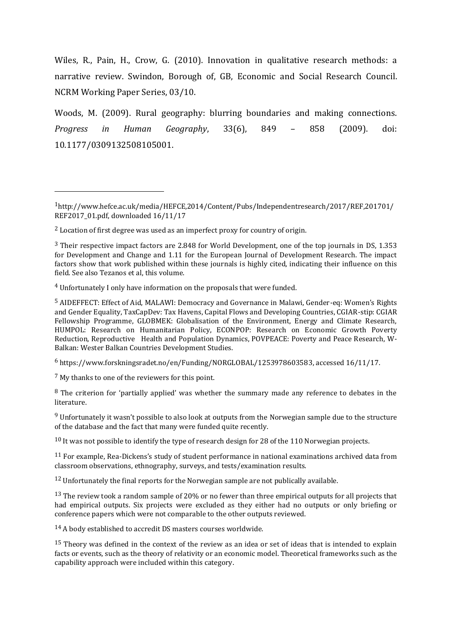Wiles, R., Pain, H., Crow, G. (2010). Innovation in qualitative research methods: a narrative review. Swindon, Borough of, GB, Economic and Social Research Council. NCRM Working Paper Series, 03/10.

Woods, M. (2009). Rural geography: blurring boundaries and making connections. *Progress in Human Geography*, 33(6), 849 – 858 (2009). doi: 10.1177/0309132508105001.

6 https://www.forskningsradet.no/en/Funding/NORGLOBAL/1253978603583, accessed 16/11/17.

7 My thanks to one of the reviewers for this point.

<u>.</u>

 $8$  The criterion for 'partially applied' was whether the summary made any reference to debates in the literature.

<sup>9</sup> Unfortunately it wasn't possible to also look at outputs from the Norwegian sample due to the structure of the database and the fact that many were funded quite recently.

 $10$  It was not possible to identify the type of research design for 28 of the 110 Norwegian projects.

<sup>11</sup> For example, Rea-Dickens's study of student performance in national examinations archived data from classroom observations, ethnography, surveys, and tests/examination results.

12 Unfortunately the final reports for the Norwegian sample are not publically available.

<sup>13</sup> The review took a random sample of 20% or no fewer than three empirical outputs for all projects that had empirical outputs. Six projects were excluded as they either had no outputs or only briefing or conference papers which were not comparable to the other outputs reviewed.

14 A body established to accredit DS masters courses worldwide.

<sup>15</sup> Theory was defined in the context of the review as an idea or set of ideas that is intended to explain facts or events, such as the theory of relativity or an economic model. Theoretical frameworks such as the capability approach were included within this category.

<sup>1</sup>http://www.hefce.ac.uk/media/HEFCE,2014/Content/Pubs/Independentresearch/2017/REF,201701/ REF2017\_01.pdf, downloaded 16/11/17

<sup>&</sup>lt;sup>2</sup> Location of first degree was used as an imperfect proxy for country of origin.

<sup>3</sup> Their respective impact factors are 2.848 for World Development, one of the top journals in DS, 1.353 for Development and Change and 1.11 for the European Journal of Development Research. The impact factors show that work published within these journals is highly cited, indicating their influence on this field. See also Tezanos et al, this volume.

<sup>4</sup> Unfortunately I only have information on the proposals that were funded.

<sup>5</sup> AIDEFFECT: Effect of Aid, MALAWI: Democracy and Governance in Malawi, Gender-eq: Women's Rights and Gender Equality, TaxCapDev: Tax Havens, Capital Flows and Developing Countries, CGIAR-stip: CGIAR Fellowship Programme, GLOBMEK: Globalisation of the Environment, Energy and Climate Research, HUMPOL: Research on Humanitarian Policy, ECONPOP: Research on Economic Growth Poverty Reduction, Reproductive Health and Population Dynamics, POVPEACE: Poverty and Peace Research, W-Balkan: Wester Balkan Countries Development Studies.